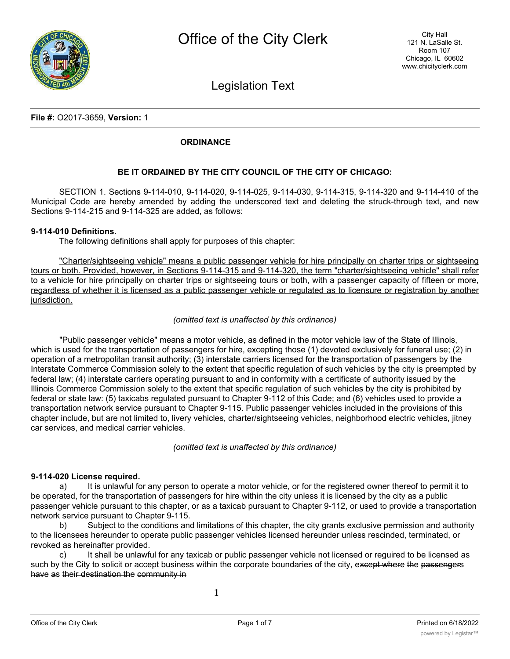

Legislation Text

## **File #:** O2017-3659, **Version:** 1

## **ORDINANCE**

## **BE IT ORDAINED BY THE CITY COUNCIL OF THE CITY OF CHICAGO:**

SECTION 1. Sections 9-114-010, 9-114-020, 9-114-025, 9-114-030, 9-114-315, 9-114-320 and 9-114-410 of the Municipal Code are hereby amended by adding the underscored text and deleting the struck-through text, and new Sections 9-114-215 and 9-114-325 are added, as follows:

#### **9-114-010 Definitions.**

The following definitions shall apply for purposes of this chapter:

"Charter/sightseeing vehicle" means a public passenger vehicle for hire principally on charter trips or sightseeing tours or both. Provided, however, in Sections 9-114-315 and 9-114-320, the term "charter/sightseeing vehicle" shall refer to a vehicle for hire principally on charter trips or sightseeing tours or both, with a passenger capacity of fifteen or more, regardless of whether it is licensed as a public passenger vehicle or regulated as to licensure or registration by another jurisdiction.

#### *(omitted text is unaffected by this ordinance)*

"Public passenger vehicle" means a motor vehicle, as defined in the motor vehicle law of the State of Illinois, which is used for the transportation of passengers for hire, excepting those (1) devoted exclusively for funeral use; (2) in operation of a metropolitan transit authority; (3) interstate carriers licensed for the transportation of passengers by the Interstate Commerce Commission solely to the extent that specific regulation of such vehicles by the city is preempted by federal law; (4) interstate carriers operating pursuant to and in conformity with a certificate of authority issued by the Illinois Commerce Commission solely to the extent that specific regulation of such vehicles by the city is prohibited by federal or state law: (5) taxicabs regulated pursuant to Chapter 9-112 of this Code; and (6) vehicles used to provide a transportation network service pursuant to Chapter 9-115. Public passenger vehicles included in the provisions of this chapter include, but are not limited to, livery vehicles, charter/sightseeing vehicles, neighborhood electric vehicles, jitney car services, and medical carrier vehicles.

*(omitted text is unaffected by this ordinance)*

#### **9-114-020 License required.**

a) It is unlawful for any person to operate a motor vehicle, or for the registered owner thereof to permit it to be operated, for the transportation of passengers for hire within the city unless it is licensed by the city as a public passenger vehicle pursuant to this chapter, or as a taxicab pursuant to Chapter 9-112, or used to provide a transportation network service pursuant to Chapter 9-115.

b) Subject to the conditions and limitations of this chapter, the city grants exclusive permission and authority to the licensees hereunder to operate public passenger vehicles licensed hereunder unless rescinded, terminated, or revoked as hereinafter provided.

c) It shall be unlawful for any taxicab or public passenger vehicle not licensed or reguired to be licensed as such by the City to solicit or accept business within the corporate boundaries of the city, except where the passengers have as their destination the community in

**1**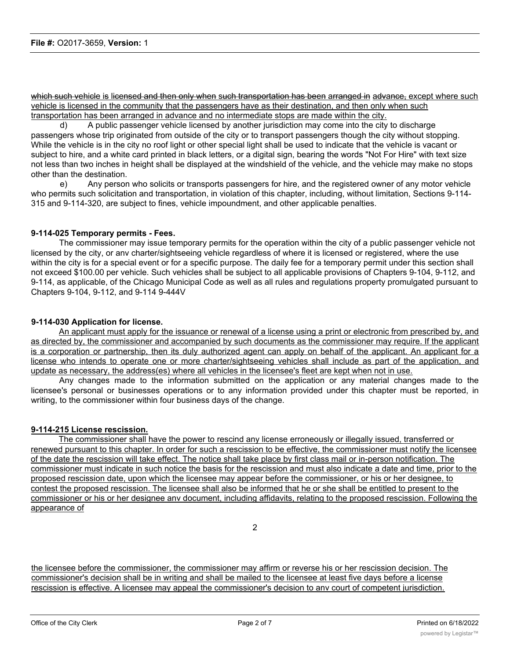which such vehicle is licensed and then only when such transportation has been arranged in advance, except where such vehicle is licensed in the community that the passengers have as their destination, and then only when such transportation has been arranged in advance and no intermediate stops are made within the city.

d) A public passenger vehicle licensed by another jurisdiction may come into the city to discharge passengers whose trip originated from outside of the city or to transport passengers though the city without stopping. While the vehicle is in the city no roof light or other special light shall be used to indicate that the vehicle is vacant or subject to hire, and a white card printed in black letters, or a digital sign, bearing the words "Not For Hire" with text size not less than two inches in height shall be displayed at the windshield of the vehicle, and the vehicle may make no stops other than the destination.

e) Any person who solicits or transports passengers for hire, and the registered owner of any motor vehicle who permits such solicitation and transportation, in violation of this chapter, including, without limitation, Sections 9-114- 315 and 9-114-320, are subject to fines, vehicle impoundment, and other applicable penalties.

## **9-114-025 Temporary permits - Fees.**

The commissioner may issue temporary permits for the operation within the city of a public passenger vehicle not licensed by the city, or anv charter/sightseeing vehicle regardless of where it is licensed or registered, where the use within the city is for a special event or for a specific purpose. The daily fee for a temporary permit under this section shall not exceed \$100.00 per vehicle. Such vehicles shall be subject to all applicable provisions of Chapters 9-104, 9-112, and 9-114, as applicable, of the Chicago Municipal Code as well as all rules and regulations property promulgated pursuant to Chapters 9-104, 9-112, and 9-114 9-444V

## **9-114-030 Application for license.**

An applicant must apply for the issuance or renewal of a license using a print or electronic from prescribed by, and as directed by, the commissioner and accompanied by such documents as the commissioner may require. If the applicant is a corporation or partnership, then its duly authorized agent can apply on behalf of the applicant. An applicant for a license who intends to operate one or more charter/sightseeing vehicles shall include as part of the application, and update as necessary, the address(es) where all vehicles in the licensee's fleet are kept when not in use.

Any changes made to the information submitted on the application or any material changes made to the licensee's personal or businesses operations or to any information provided under this chapter must be reported, in writing, to the commissioner within four business days of the change.

## **9-114-215 License rescission.**

The commissioner shall have the power to rescind any license erroneously or illegally issued, transferred or renewed pursuant to this chapter. In order for such a rescission to be effective, the commissioner must notify the licensee of the date the rescission will take effect. The notice shall take place by first class mail or in-person notification. The commissioner must indicate in such notice the basis for the rescission and must also indicate a date and time, prior to the proposed rescission date, upon which the licensee may appear before the commissioner, or his or her designee, to contest the proposed rescission. The licensee shall also be informed that he or she shall be entitled to present to the commissioner or his or her designee anv document, including affidavits, relating to the proposed rescission. Following the appearance of

2

the licensee before the commissioner, the commissioner may affirm or reverse his or her rescission decision. The commissioner's decision shall be in writing and shall be mailed to the licensee at least five days before a license rescission is effective. A licensee may appeal the commissioner's decision to anv court of competent jurisdiction.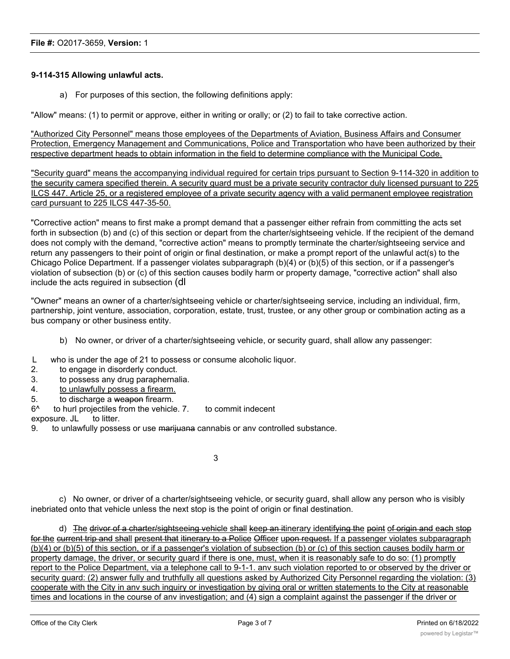## **9-114-315 Allowing unlawful acts.**

a) For purposes of this section, the following definitions apply:

"Allow" means: (1) to permit or approve, either in writing or orally; or (2) to fail to take corrective action.

"Authorized City Personnel" means those employees of the Departments of Aviation, Business Affairs and Consumer Protection, Emergency Management and Communications, Police and Transportation who have been authorized by their respective department heads to obtain information in the field to determine compliance with the Municipal Code.

"Security guard" means the accompanying individual reguired for certain trips pursuant to Section 9-114-320 in addition to the security camera specified therein. A security guard must be a private security contractor duly licensed pursuant to 225 ILCS 447. Article 25, or a registered employee of a private security agency with a valid permanent employee registration card pursuant to 225 ILCS 447-35-50.

"Corrective action" means to first make a prompt demand that a passenger either refrain from committing the acts set forth in subsection (b) and (c) of this section or depart from the charter/sightseeing vehicle. If the recipient of the demand does not comply with the demand, "corrective action" means to promptly terminate the charter/sightseeing service and return any passengers to their point of origin or final destination, or make a prompt report of the unlawful act(s) to the Chicago Police Department. If a passenger violates subparagraph (b)(4) or (b)(5) of this section, or if a passenger's violation of subsection (b) or (c) of this section causes bodily harm or property damage, "corrective action" shall also include the acts reguired in subsection (dl

"Owner" means an owner of a charter/sightseeing vehicle or charter/sightseeing service, including an individual, firm, partnership, joint venture, association, corporation, estate, trust, trustee, or any other group or combination acting as a bus company or other business entity.

- b) No owner, or driver of a charter/sightseeing vehicle, or security guard, shall allow any passenger:
- L who is under the age of 21 to possess or consume alcoholic liquor.
- 2. to engage in disorderly conduct.
- 3. to possess any drug paraphernalia.
- 4. to unlawfully possess a firearm.
- 5. to discharge a weapon firearm.
- 6^ to hurl projectiles from the vehicle. 7. to commit indecent

exposure. JL to litter.

9. to unlawfully possess or use marijuana cannabis or anv controlled substance.

3

c) No owner, or driver of a charter/sightseeing vehicle, or security guard, shall allow any person who is visibly inebriated onto that vehicle unless the next stop is the point of origin or final destination.

d) The drivor of a charter/sightseeing vehicle shall keep an itinerary identifying the point of origin and each stop for the current trip and shall present that itinerary to a Police Officer upon request. If a passenger violates subparagraph (b)(4) or (b)(5) of this section, or if a passenger's violation of subsection (b) or (c) of this section causes bodily harm or property damage, the driver, or security guard if there is one, must, when it is reasonably safe to do so: (1) promptly report to the Police Department, via a telephone call to 9-1-1. anv such violation reported to or observed by the driver or security guard: (2) answer fully and truthfully all questions asked by Authorized City Personnel regarding the violation: (3) cooperate with the City in anv such inguiry or investigation by giving oral or written statements to the City at reasonable times and locations in the course of anv investigation; and (4) sign a complaint against the passenger if the driver or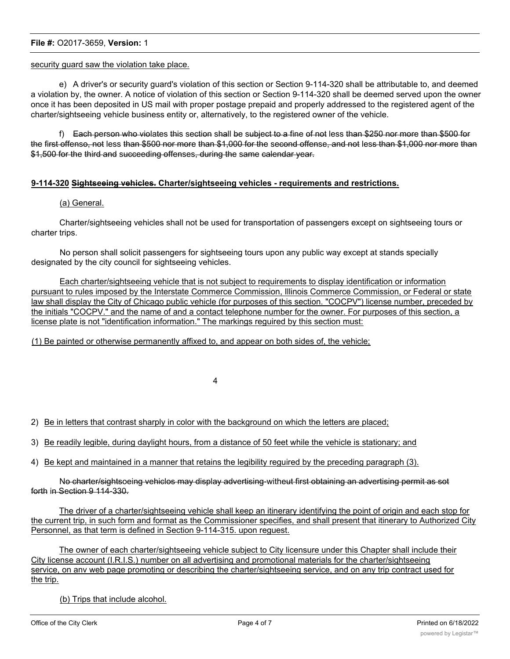## **File #:** O2017-3659, **Version:** 1

### security guard saw the violation take place.

e) A driver's or security guard's violation of this section or Section 9-114-320 shall be attributable to, and deemed a violation by, the owner. A notice of violation of this section or Section 9-114-320 shall be deemed served upon the owner once it has been deposited in US mail with proper postage prepaid and properly addressed to the registered agent of the charter/sightseeing vehicle business entity or, alternatively, to the registered owner of the vehicle.

f) Each person who violates this section shall be subject to a fine of not less than \$250 nor more than \$500 for the first offenso, not less than \$500 nor more than \$1,000 for the second offense, and not less than \$1,000 nor more than \$1,500 for the third and succeeding offenses, during the same calendar year.

## **9-114-320 Sightseeing vehicles. Charter/sightseeing vehicles - requirements and restrictions.**

## (a) General.

Charter/sightseeing vehicles shall not be used for transportation of passengers except on sightseeing tours or charter trips.

No person shall solicit passengers for sightseeing tours upon any public way except at stands specially designated by the city council for sightseeing vehicles.

Each charter/sightseeing vehicle that is not subject to requirements to display identification or information pursuant to rules imposed by the Interstate Commerce Commission, Illinois Commerce Commission, or Federal or state law shall display the City of Chicago public vehicle (for purposes of this section. "COCPV") license number, preceded by the initials "COCPV." and the name of and a contact telephone number for the owner. For purposes of this section, a license plate is not "identification information." The markings reguired by this section must:

(1) Be painted or otherwise permanently affixed to, and appear on both sides of, the vehicle;

4

2) Be in letters that contrast sharply in color with the background on which the letters are placed;

- 3) Be readily legible, during daylight hours, from a distance of 50 feet while the vehicle is stationary; and
- 4) Be kept and maintained in a manner that retains the legibility reguired by the preceding paragraph (3).

No charter/sightsoeing vehiclos may display advertising-witheut first obtaining an advertising permit as sot forth in Section 9 114-330.

The driver of a charter/sightseeing vehicle shall keep an itinerary identifying the point of origin and each stop for the current trip, in such form and format as the Commissioner specifies, and shall present that itinerary to Authorized City Personnel, as that term is defined in Section 9-114-315. upon reguest.

The owner of each charter/sightseeing vehicle subject to City licensure under this Chapter shall include their City license account (I.R.I.S.) number on all advertising and promotional materials for the charter/sightseeing service, on anv web page promoting or describing the charter/sightseeing service, and on any trip contract used for the trip.

(b) Trips that include alcohol.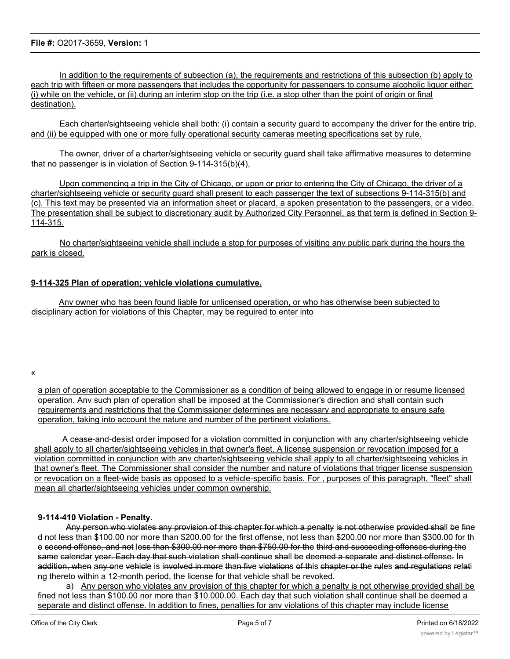In addition to the requirements of subsection (a), the requirements and restrictions of this subsection (b) apply to each trip with fifteen or more passengers that includes the opportunity for passengers to consume alcoholic liquor either: (i) while on the vehicle, or (ii) during an interim stop on the trip (i.e. a stop other than the point of origin or final destination).

Each charter/sightseeing vehicle shall both: (i) contain a security guard to accompany the driver for the entire trip, and (ii) be equipped with one or more fully operational security cameras meeting specifications set by rule.

The owner, driver of a charter/sightseeing vehicle or security guard shall take affirmative measures to determine that no passenger is in violation of Section 9-114-315(b)(4),

Upon commencing a trip in the City of Chicago, or upon or prior to entering the City of Chicago, the driver of a charter/sightseeing vehicle or security guard shall present to each passenger the text of subsections 9-114-315(b) and (c). This text may be presented via an information sheet or placard, a spoken presentation to the passengers, or a video. The presentation shall be subject to discretionary audit by Authorized City Personnel, as that term is defined in Section 9-114-315.

No charter/sightseeing vehicle shall include a stop for purposes of visiting anv public park during the hours the park is closed.

## **9-114-325 Plan of operation; vehicle violations cumulative.**

Anv owner who has been found liable for unlicensed operation, or who has otherwise been subjected to disciplinary action for violations of this Chapter, may be reguired to enter into

«

a plan of operation acceptable to the Commissioner as a condition of being allowed to engage in or resume licensed operation. Anv such plan of operation shall be imposed at the Commissioner's direction and shall contain such reguirements and restrictions that the Commissioner determines are necessary and appropriate to ensure safe operation, taking into account the nature and number of the pertinent violations.

A cease-and-desist order imposed for a violation committed in conjunction with any charter/sightseeing vehicle shall apply to all charter/sightseeing vehicles in that owner's fleet. A license suspension or revocation imposed for a violation committed in conjunction with anv charter/sightseeing vehicle shall apply to all charter/sightseeing vehicles in that owner's fleet. The Commissioner shall consider the number and nature of violations that trigger license suspension or revocation on a fleet-wide basis as opposed to a vehicle-specific basis. For , purposes of this paragraph, "fleet" shall mean all charter/sightseeing vehicles under common ownership.

## **9-114-410 Violation - Penalty.**

Any person who violates any provision of this chapter for which a penalty is not otherwise provided shall be fine d not less than \$100.00 nor more than \$200.00 for the first offense, not less than \$200.00 nor more than \$300.00 for th e second offense, and not less than \$300.00 nor more than \$750.00 for the third and succeeding offenses during the same calendar year. Each day that such violation shall continue shall be deemed a separate and distinct offense. In addition, when any one vehicle is involved in more than five violations of this chapter or the rules and regulations relati ng thereto within a 12-month period, the license for that vehicle shall be revoked.

a) Anv person who violates anv provision of this chapter for which a penalty is not otherwise provided shall be fined not less than \$100.00 nor more than \$10.000.00. Each day that such violation shall continue shall be deemed a separate and distinct offense. In addition to fines, penalties for anv violations of this chapter may include license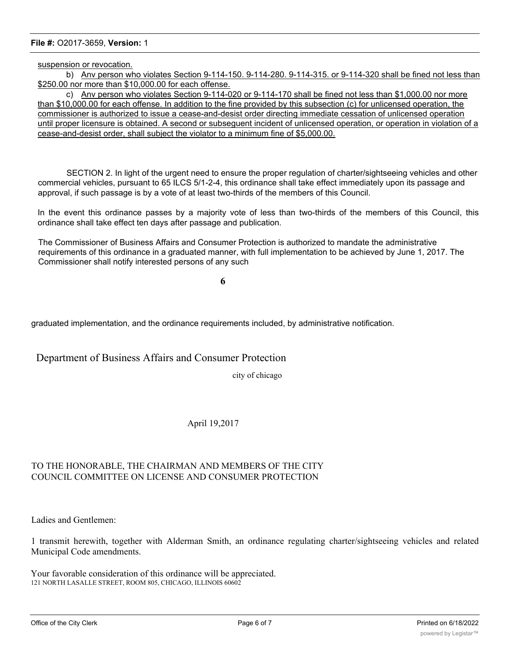### **File #:** O2017-3659, **Version:** 1

suspension or revocation.

b) Anv person who violates Section 9-114-150. 9-114-280. 9-114-315. or 9-114-320 shall be fined not less than \$250.00 nor more than \$10,000.00 for each offense.

c) Anv person who violates Section 9-114-020 or 9-114-170 shall be fined not less than \$1,000.00 nor more than \$10,000.00 for each offense. In addition to the fine provided by this subsection (c) for unlicensed operation, the commissioner is authorized to issue a cease-and-desist order directing immediate cessation of unlicensed operation until proper licensure is obtained. A second or subseguent incident of unlicensed operation, or operation in violation of a cease-and-desist order, shall subject the violator to a minimum fine of \$5,000.00.

SECTION 2. In light of the urgent need to ensure the proper regulation of charter/sightseeing vehicles and other commercial vehicles, pursuant to 65 ILCS 5/1-2-4, this ordinance shall take effect immediately upon its passage and approval, if such passage is by a vote of at least two-thirds of the members of this Council.

In the event this ordinance passes by a majority vote of less than two-thirds of the members of this Council, this ordinance shall take effect ten days after passage and publication.

The Commissioner of Business Affairs and Consumer Protection is authorized to mandate the administrative requirements of this ordinance in a graduated manner, with full implementation to be achieved by June 1, 2017. The Commissioner shall notify interested persons of any such

**6**

graduated implementation, and the ordinance requirements included, by administrative notification.

Department of Business Affairs and Consumer Protection

city of chicago

April 19,2017

# TO THE HONORABLE, THE CHAIRMAN AND MEMBERS OF THE CITY COUNCIL COMMITTEE ON LICENSE AND CONSUMER PROTECTION

Ladies and Gentlemen:

1 transmit herewith, together with Alderman Smith, an ordinance regulating charter/sightseeing vehicles and related Municipal Code amendments.

Your favorable consideration of this ordinance will be appreciated. 121 NORTH LASALLE STREET, ROOM 805, CHICAGO, ILLINOIS 60602